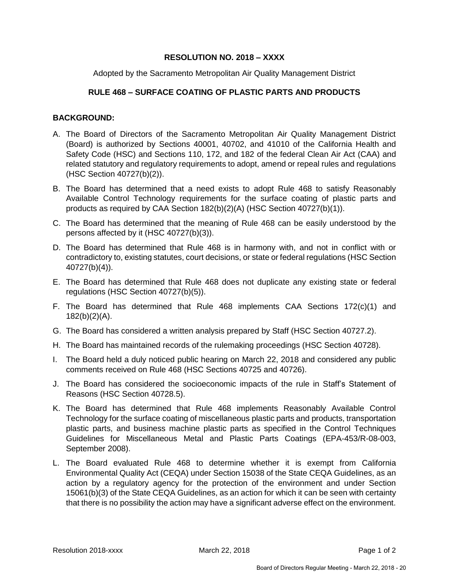## **RESOLUTION NO. 2018 – XXXX**

Adopted by the Sacramento Metropolitan Air Quality Management District

## **RULE 468 – SURFACE COATING OF PLASTIC PARTS AND PRODUCTS**

## **BACKGROUND:**

- A. The Board of Directors of the Sacramento Metropolitan Air Quality Management District (Board) is authorized by Sections 40001, 40702, and 41010 of the California Health and Safety Code (HSC) and Sections 110, 172, and 182 of the federal Clean Air Act (CAA) and related statutory and regulatory requirements to adopt, amend or repeal rules and regulations (HSC Section 40727(b)(2)).
- B. The Board has determined that a need exists to adopt Rule 468 to satisfy Reasonably Available Control Technology requirements for the surface coating of plastic parts and products as required by CAA Section 182(b)(2)(A) (HSC Section 40727(b)(1)).
- C. The Board has determined that the meaning of Rule 468 can be easily understood by the persons affected by it (HSC 40727(b)(3)).
- D. The Board has determined that Rule 468 is in harmony with, and not in conflict with or contradictory to, existing statutes, court decisions, or state or federal regulations (HSC Section 40727(b)(4)).
- E. The Board has determined that Rule 468 does not duplicate any existing state or federal regulations (HSC Section 40727(b)(5)).
- F. The Board has determined that Rule 468 implements CAA Sections 172(c)(1) and 182(b)(2)(A).
- G. The Board has considered a written analysis prepared by Staff (HSC Section 40727.2).
- H. The Board has maintained records of the rulemaking proceedings (HSC Section 40728).
- I. The Board held a duly noticed public hearing on March 22, 2018 and considered any public comments received on Rule 468 (HSC Sections 40725 and 40726).
- J. The Board has considered the socioeconomic impacts of the rule in Staff's Statement of Reasons (HSC Section 40728.5).
- K. The Board has determined that Rule 468 implements Reasonably Available Control Technology for the surface coating of miscellaneous plastic parts and products, transportation plastic parts, and business machine plastic parts as specified in the Control Techniques Guidelines for Miscellaneous Metal and Plastic Parts Coatings (EPA-453/R-08-003, September 2008).
- L. The Board evaluated Rule 468 to determine whether it is exempt from California Environmental Quality Act (CEQA) under Section 15038 of the State CEQA Guidelines, as an action by a regulatory agency for the protection of the environment and under Section 15061(b)(3) of the State CEQA Guidelines, as an action for which it can be seen with certainty that there is no possibility the action may have a significant adverse effect on the environment.